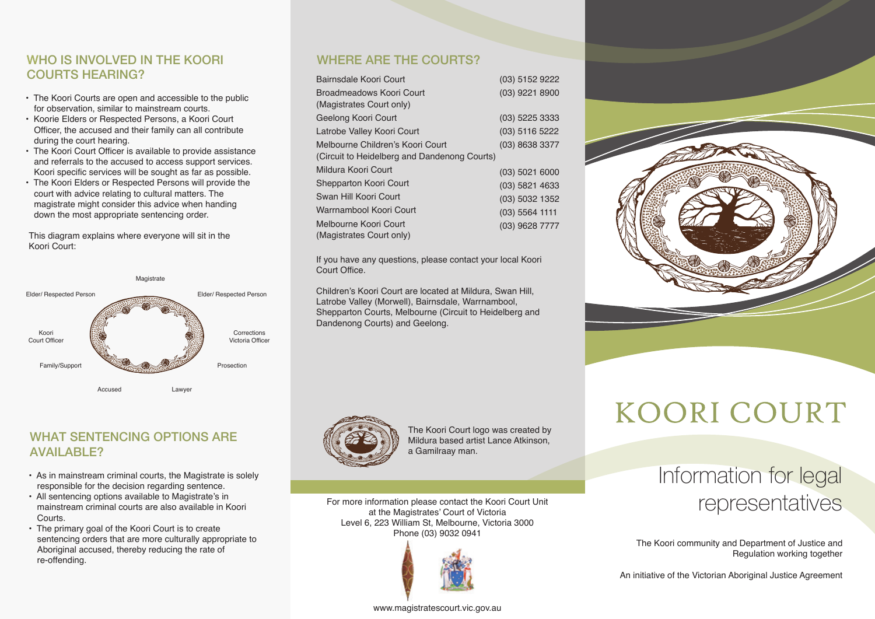#### WHO IS INVOLVED IN THE KOORI WHERE ARE THE COURTS? **COURTS HEARING?**

- The Koori Courts are open and accessible to the public for observation, similar to mainstream courts.
- Koorie Elders or Respected Persons, a Koori Court Officer, the accused and their family can all contribute during the court hearing.
- The Koori Court Officer is available to provide assistance and referrals to the accused to access support services. Koori specific services will be sought as far as possible.
- The Koori Elders or Respected Persons will provide the court with advice relating to cultural matters. The magistrate might consider this advice when handing down the most appropriate sentencing order.

This diagram explains where everyone will sit in the Koori Court:



# WHAT SENTENCING OPTIONS ARE AVAILABLE?

- As in mainstream criminal courts, the Magistrate is solely responsible for the decision regarding sentence.
- All sentencing options available to Magistrate's in mainstream criminal courts are also available in Koori Courts.
- The primary goal of the Koori Court is to create sentencing orders that are more culturally appropriate to Aboriginal accused, thereby reducing the rate of re-offending.

| Bairnsdale Koori Court                       | $(03)$ 5152 9222 |
|----------------------------------------------|------------------|
| Broadmeadows Koori Court                     | $(03)$ 9221 8900 |
| (Magistrates Court only)                     |                  |
| Geelong Koori Court                          | $(03)$ 5225 3333 |
| Latrobe Valley Koori Court                   | $(03)$ 5116 5222 |
| Melbourne Children's Koori Court             | (03) 8638 3377   |
| (Circuit to Heidelberg and Dandenong Courts) |                  |
| Mildura Koori Court                          | $(03)$ 5021 6000 |
| <b>Shepparton Koori Court</b>                | $(03)$ 5821 4633 |
| Swan Hill Koori Court                        | (03) 5032 1352   |
| Warrnambool Koori Court                      | $(03)$ 5564 1111 |
| Melbourne Koori Court                        | $(03)$ 9628 7777 |
| (Magistrates Court only)                     |                  |

If you have any questions, please contact your local Koori Court Office.

Children's Koori Court are located at Mildura, Swan Hill, Latrobe Valley (Morwell), Bairnsdale, Warrnambool, Shepparton Courts, Melbourne (Circuit to Heidelberg and Dandenong Courts) and Geelong.



The Koori Court logo was created by Mildura based artist Lance Atkinson, a Gamilraay man.

For more information please contact the Koori Court Unit at the Magistrates' Court of Victoria Level 6, 223 William St, Melbourne, Victoria 3000 Phone (03) 9032 0941



# **KOORI COURT**

# Information for legal representatives

The Koori community and Department of Justice and Regulation working together

An initiative of the Victorian Aboriginal Justice Agreement

#### www.magistratescourt.vic.gov.au